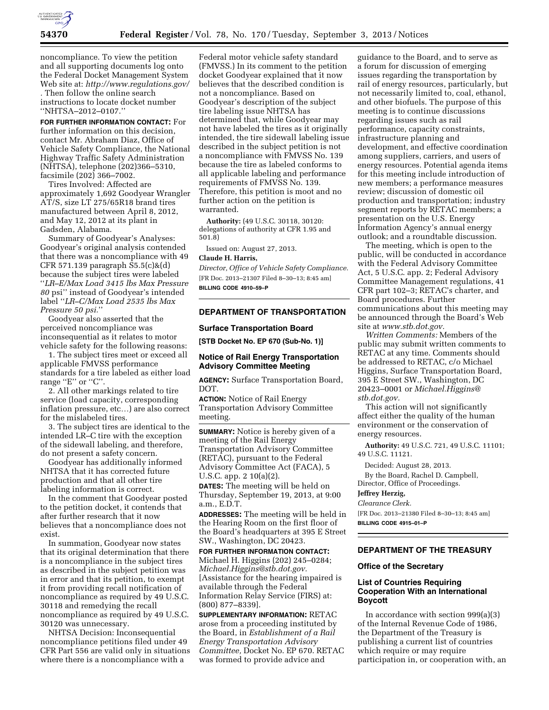

noncompliance. To view the petition and all supporting documents log onto the Federal Docket Management System Web site at: *<http://www.regulations.gov/> .* Then follow the online search

instructions to locate docket number ''NHTSA–2012–0107.''

**FOR FURTHER INFORMATION CONTACT:** For further information on this decision, contact Mr. Abraham Diaz, Office of Vehicle Safety Compliance, the National Highway Traffic Safety Administration (NHTSA), telephone (202)366–5310, facsimile (202) 366–7002.

Tires Involved: Affected are approximately 1,692 Goodyear Wrangler AT/S, size LT 275/65R18 brand tires manufactured between April 8, 2012, and May 12, 2012 at its plant in Gadsden, Alabama.

Summary of Goodyear's Analyses: Goodyear's original analysis contended that there was a noncompliance with 49 CFR 571.139 paragraph S5.5(c)&(d) because the subject tires were labeled ''*LR–E/Max Load 3415 lbs Max Pressure 80* psi'' instead of Goodyear's intended label ''*LR–C/Max Load 2535 lbs Max Pressure 50 psi.*''

Goodyear also asserted that the perceived noncompliance was inconsequential as it relates to motor vehicle safety for the following reasons:

1. The subject tires meet or exceed all applicable FMVSS performance standards for a tire labeled as either load range "E" or "C".

2. All other markings related to tire service (load capacity, corresponding inflation pressure, etc…) are also correct for the mislabeled tires.

3. The subject tires are identical to the intended LR–C tire with the exception of the sidewall labeling, and therefore, do not present a safety concern.

Goodyear has additionally informed NHTSA that it has corrected future production and that all other tire labeling information is correct.

In the comment that Goodyear posted to the petition docket, it contends that after further research that it now believes that a noncompliance does not exist.

In summation, Goodyear now states that its original determination that there is a noncompliance in the subject tires as described in the subject petition was in error and that its petition, to exempt it from providing recall notification of noncompliance as required by 49 U.S.C. 30118 and remedying the recall noncompliance as required by 49 U.S.C. 30120 was unnecessary.

NHTSA Decision: Inconsequential noncompliance petitions filed under 49 CFR Part 556 are valid only in situations where there is a noncompliance with a

Federal motor vehicle safety standard (FMVSS.) In its comment to the petition docket Goodyear explained that it now believes that the described condition is not a noncompliance. Based on Goodyear's description of the subject tire labeling issue NHTSA has determined that, while Goodyear may not have labeled the tires as it originally intended, the tire sidewall labeling issue described in the subject petition is not a noncompliance with FMVSS No. 139 because the tire as labeled conforms to all applicable labeling and performance requirements of FMVSS No. 139. Therefore, this petition is moot and no further action on the petition is warranted.

**Authority:** (49 U.S.C. 30118, 30120: delegations of authority at CFR 1.95 and 501.8)

Issued on: August 27, 2013.

### **Claude H. Harris,**

*Director, Office of Vehicle Safety Compliance.*  [FR Doc. 2013–21307 Filed 8–30–13; 8:45 am] **BILLING CODE 4910–59–P** 

# **DEPARTMENT OF TRANSPORTATION**

## **Surface Transportation Board**

**[STB Docket No. EP 670 (Sub-No. 1)]** 

# **Notice of Rail Energy Transportation Advisory Committee Meeting**

**AGENCY:** Surface Transportation Board, DOT.

**ACTION:** Notice of Rail Energy Transportation Advisory Committee meeting.

**SUMMARY:** Notice is hereby given of a meeting of the Rail Energy Transportation Advisory Committee (RETAC), pursuant to the Federal Advisory Committee Act (FACA), 5 U.S.C. app. 2 10(a)(2).

**DATES:** The meeting will be held on Thursday, September 19, 2013, at 9:00 a.m., E.D.T.

**ADDRESSES:** The meeting will be held in the Hearing Room on the first floor of the Board's headquarters at 395 E Street SW., Washington, DC 20423.

**FOR FURTHER INFORMATION CONTACT:** 

Michael H. Higgins (202) 245–0284; *[Michael.Higgins@stb.dot.gov.](mailto:Michael.Higgins@stb.dot.gov)*  [Assistance for the hearing impaired is available through the Federal Information Relay Service (FIRS) at: (800) 877–8339].

**SUPPLEMENTARY INFORMATION:** RETAC arose from a proceeding instituted by the Board, in *Establishment of a Rail Energy Transportation Advisory Committee,* Docket No. EP 670. RETAC was formed to provide advice and

guidance to the Board, and to serve as a forum for discussion of emerging issues regarding the transportation by rail of energy resources, particularly, but not necessarily limited to, coal, ethanol, and other biofuels. The purpose of this meeting is to continue discussions regarding issues such as rail performance, capacity constraints, infrastructure planning and development, and effective coordination among suppliers, carriers, and users of energy resources. Potential agenda items for this meeting include introduction of new members; a performance measures review; discussion of domestic oil production and transportation; industry segment reports by RETAC members; a presentation on the U.S. Energy Information Agency's annual energy outlook; and a roundtable discussion.

The meeting, which is open to the public, will be conducted in accordance with the Federal Advisory Committee Act, 5 U.S.C. app. 2; Federal Advisory Committee Management regulations, 41 CFR part 102–3; RETAC's charter, and Board procedures. Further communications about this meeting may be announced through the Board's Web site at *[www.stb.dot.gov.](http://www.stb.dot.gov)* 

*Written Comments:* Members of the public may submit written comments to RETAC at any time. Comments should be addressed to RETAC, c/o Michael Higgins, Surface Transportation Board, 395 E Street SW., Washington, DC 20423–0001 or *[Michael.Higgins@](mailto:Michael.Higgins@stb.dot.gov) [stb.dot.gov.](mailto:Michael.Higgins@stb.dot.gov)* 

This action will not significantly affect either the quality of the human environment or the conservation of energy resources.

**Authority:** 49 U.S.C. 721, 49 U.S.C. 11101; 49 U.S.C. 11121.

Decided: August 28, 2013.

By the Board, Rachel D. Campbell, Director, Office of Proceedings.

# **Jeffrey Herzig,**

*Clearance Clerk.* 

[FR Doc. 2013–21380 Filed 8–30–13; 8:45 am] **BILLING CODE 4915–01–P** 

## **DEPARTMENT OF THE TREASURY**

### **Office of the Secretary**

## **List of Countries Requiring Cooperation With an International Boycott**

In accordance with section 999(a)(3) of the Internal Revenue Code of 1986, the Department of the Treasury is publishing a current list of countries which require or may require participation in, or cooperation with, an